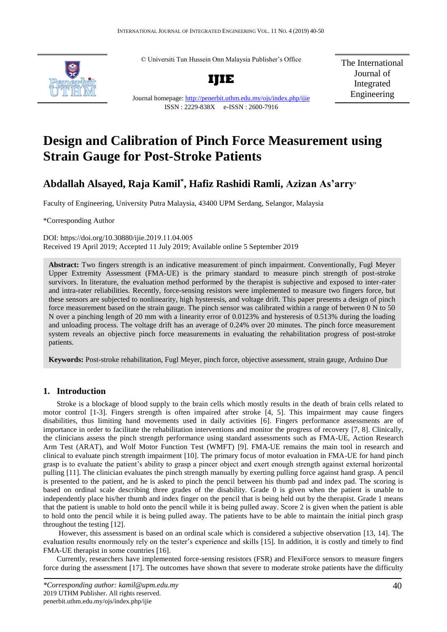© Universiti Tun Hussein Onn Malaysia Publisher's Office



**IJIE**

Journal homepage:<http://penerbit.uthm.edu.my/ojs/index.php/ijie>

ISSN : 2229-838X e-ISSN : 2600-7916

The International Journal of Integrated Engineering

# **Design and Calibration of Pinch Force Measurement using**

## **Abdallah Alsayed, Raja Kamil\* , Hafiz Rashidi Ramli, Azizan As'arry,**

Faculty of Engineering, University Putra Malaysia, 43400 UPM Serdang, Selangor, Malaysia

\*Corresponding Author

DOI: https://doi.org/10.30880/ijie.2019.11.04.005 Received 19 April 2019; Accepted 11 July 2019; Available online 5 September 2019

**Strain Gauge for Post-Stroke Patients** 

**Abstract:** Two fingers strength is an indicative measurement of pinch impairment. Conventionally, Fugl Meyer Upper Extremity Assessment (FMA-UE) is the primary standard to measure pinch strength of post-stroke survivors. In literature, the evaluation method performed by the therapist is subjective and exposed to inter-rater and intra-rater reliabilities. Recently, force-sensing resistors were implemented to measure two fingers force, but these sensors are subjected to nonlinearity, high hysteresis, and voltage drift. This paper presents a design of pinch force measurement based on the strain gauge. The pinch sensor was calibrated within a range of between 0 N to 50 N over a pinching length of 20 mm with a linearity error of 0.0123% and hysteresis of 0.513% during the loading and unloading process. The voltage drift has an average of 0.24% over 20 minutes. The pinch force measurement system reveals an objective pinch force measurements in evaluating the rehabilitation progress of post-stroke patients.

**Keywords:** Post-stroke rehabilitation, Fugl Meyer, pinch force, objective assessment, strain gauge, Arduino Due

#### **1. Introduction Keywords:** Keywords: Keywords: *Keywords is usually 3-7, but more is usually 3-7, but more is allowed if deep necessary*

Stroke is a blockage of blood supply to the brain cells which mostly results in the death of brain cells related to motor control [\[1-3\]](#page-9-0). Fingers strength is often impaired after stroke [\[4,](#page-9-1) [5\]](#page-9-2). This impairment may cause fingers disabilities, thus limiting hand movements used in daily activities [\[6\]](#page-9-3). Fingers performance assessments are of importance in order to facilitate the rehabilitation interventions and monitor the progress of recovery [\[7,](#page-9-4) [8\]](#page-9-5). Clinically, the clinicians assess the pinch strength performance using standard assessments such as FMA-UE, Action Research Arm Test (ARAT), and Wolf Motor Function Test (WMFT) [\[9\]](#page-9-6). FMA-UE remains the main tool in research and clinical to evaluate pinch strength impairment [\[10\]](#page-9-7). The primary focus of motor evaluation in FMA-UE for hand pinch grasp is to evaluate the patient's ability to grasp a pincer object and exert enough strength against external horizontal pulling [\[11\]](#page-9-8). The clinician evaluates the pinch strength manually by exerting pulling force against hand grasp. A pencil is presented to the patient, and he is asked to pinch the pencil between his thumb pad and index pad. The scoring is based on ordinal scale describing three grades of the disability. Grade 0 is given when the patient is unable to independently place his/her thumb and index finger on the pencil that is being held out by the therapist. Grade 1 means that the patient is unable to hold onto the pencil while it is being pulled away. Score 2 is given when the patient is able to hold onto the pencil while it is being pulled away. The patients have to be able to maintain the initial pinch grasp throughout the testing [\[12\]](#page-9-9).

 However, this assessment is based on an ordinal scale which is considered a subjective observation [\[13,](#page-9-10) [14\]](#page-9-11). The evaluation results enormously rely on the tester's experience and skills [\[15\]](#page-9-12). In addition, it is costly and timely to find FMA-UE therapist in some countries [\[16\]](#page-9-13).

Currently, researchers have implemented force-sensing resistors (FSR) and FlexiForce sensors to measure fingers force during the assessment [\[17\]](#page-9-14). The outcomes have shown that severe to moderate stroke patients have the difficulty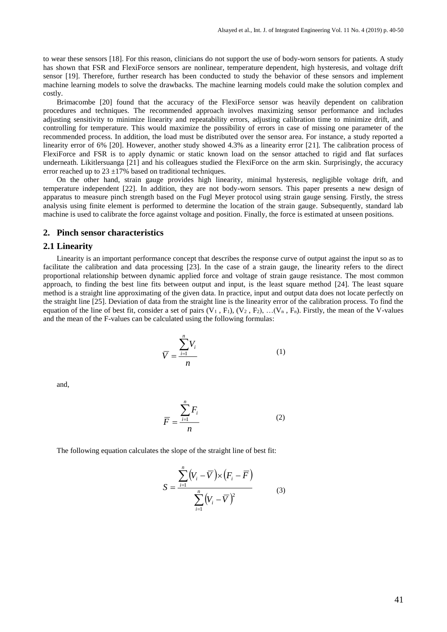to wear these sensors [\[18\]](#page-9-15). For this reason, clinicians do not support the use of body-worn sensors for patients. A study has shown that FSR and FlexiForce sensors are nonlinear, temperature dependent, high hysteresis, and voltage drift sensor [\[19\]](#page-9-16). Therefore, further research has been conducted to study the behavior of these sensors and implement machine learning models to solve the drawbacks. The machine learning models could make the solution complex and costly.

Brimacombe [\[20\]](#page-9-17) found that the accuracy of the FlexiForce sensor was heavily dependent on calibration procedures and techniques. The recommended approach involves maximizing sensor performance and includes adjusting sensitivity to minimize linearity and repeatability errors, adjusting calibration time to minimize drift, and controlling for temperature. This would maximize the possibility of errors in case of missing one parameter of the recommended process. In addition, the load must be distributed over the sensor area. For instance, a study reported a linearity error of 6% [20]. However, another study showed 4.3% as a linearity error [21]. The calibration process of FlexiForce and FSR is to apply dynamic or static known load on the sensor attached to rigid and flat surfaces underneath. Likitlersuanga [\[21\]](#page-10-0) and his colleagues studied the FlexiForce on the arm skin. Surprisingly, the accuracy error reached up to  $23 \pm 17\%$  based on traditional techniques.

On the other hand, strain gauge provides high linearity, minimal hysteresis, negligible voltage drift, and temperature independent [\[22\]](#page-10-1). In addition, they are not body-worn sensors. This paper presents a new design of apparatus to measure pinch strength based on the Fugl Meyer protocol using strain gauge sensing. Firstly, the stress analysis using finite element is performed to determine the location of the strain gauge. Subsequently, standard lab machine is used to calibrate the force against voltage and position. Finally, the force is estimated at unseen positions.

#### **2. Pinch sensor characteristics**

#### **2.1 Linearity**

Linearity is an important performance concept that describes the response curve of output against the input so as to facilitate the calibration and data processing [\[23\]](#page-10-2). In the case of a strain gauge, the linearity refers to the direct proportional relationship between dynamic applied force and voltage of strain gauge resistance. The most common approach, to finding the best line fits between output and input, is the least square method [\[24\]](#page-10-3). The least square method is a straight line approximating of the given data. In practice, input and output data does not locate perfectly on the straight line [\[25\]](#page-10-4). Deviation of data from the straight line is the linearity error of the calibration process. To find the equation of the line of best fit, consider a set of pairs  $(V_1, F_1), (V_2, F_2), \ldots, (V_n, F_n)$ . Firstly, the mean of the V-values and the mean of the F-values can be calculated using the following formulas:

$$
\overline{V} = \frac{\sum_{i=1}^{n} V_i}{n}
$$
 (1)

and,

$$
\overline{F} = \frac{\sum_{i=1}^{n} F_i}{n}
$$
 (2)

The following equation calculates the slope of the straight line of best fit:

$$
S = \frac{\sum_{i=1}^{n} (V_i - \overline{V}) \times (F_i - \overline{F})}{\sum_{i=1}^{n} (V_i - \overline{V})^2}
$$
(3)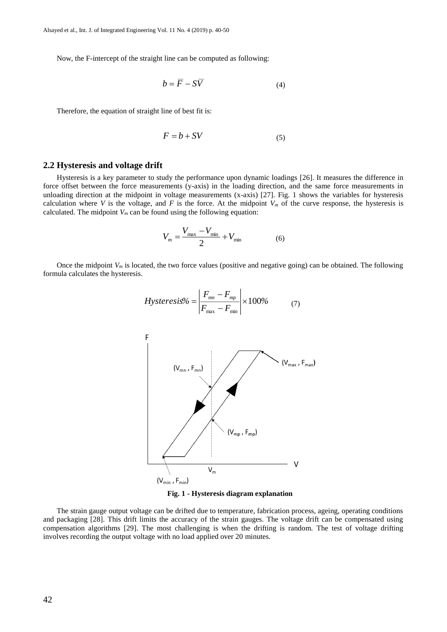Now, the F-intercept of the straight line can be computed as following:

$$
b = F - SV \tag{4}
$$

Therefore, the equation of straight line of best fit is:

$$
F = b + SV \tag{5}
$$

#### **2.2 Hysteresis and voltage drift**

Hysteresis is a key parameter to study the performance upon dynamic loadings [\[26\]](#page-10-5). It measures the difference in force offset between the force measurements (y-axis) in the loading direction, and the same force measurements in unloading direction at the midpoint in voltage measurements (x-axis) [\[27\]](#page-10-6). Fig. 1 shows the variables for hysteresis calculation where *V* is the voltage, and *F* is the force. At the midpoint  $V_m$  of the curve response, the hysteresis is calculated. The midpoint  $V_m$  can be found using the following equation:

$$
V_m = \frac{V_{\text{max}} - V_{\text{min}}}{2} + V_{\text{min}} \tag{6}
$$

Once the midpoint  $V_m$  is located, the two force values (positive and negative going) can be obtained. The following formula calculates the hysteresis.

$$
Hysteresis\% = \left| \frac{F_{mn} - F_{mp}}{F_{\text{max}} - F_{\text{min}}} \right| \times 100\% \tag{7}
$$



**Fig. 1 - Hysteresis diagram explanation**

The strain gauge output voltage can be drifted due to temperature, fabrication process, ageing, operating conditions and packaging [\[28\]](#page-10-7). This drift limits the accuracy of the strain gauges. The voltage drift can be compensated using compensation algorithms [\[29\]](#page-10-8). The most challenging is when the drifting is random. The test of voltage drifting involves recording the output voltage with no load applied over 20 minutes.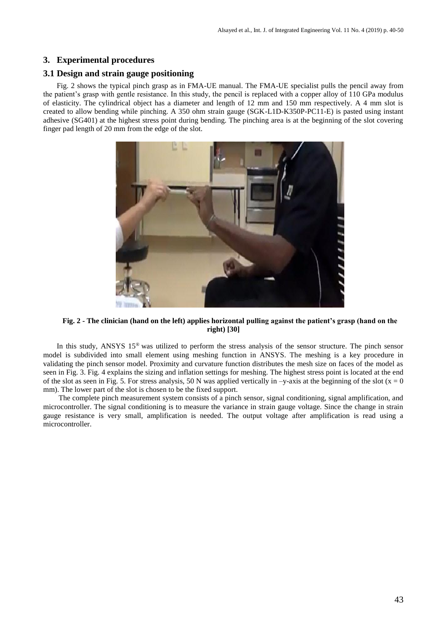#### **3. Experimental procedures**

#### **3.1 Design and strain gauge positioning**

Fig. 2 shows the typical pinch grasp as in FMA-UE manual. The FMA-UE specialist pulls the pencil away from the patient's grasp with gentle resistance. In this study, the pencil is replaced with a copper alloy of 110 GPa modulus of elasticity. The cylindrical object has a diameter and length of 12 mm and 150 mm respectively. A 4 mm slot is created to allow bending while pinching. A 350 ohm strain gauge (SGK-L1D-K350P-PC11-E) is pasted using instant adhesive (SG401) at the highest stress point during bending. The pinching area is at the beginning of the slot covering finger pad length of 20 mm from the edge of the slot.



**Fig. 2 - The clinician (hand on the left) applies horizontal pulling against the patient's grasp (hand on the right) [\[30\]](#page-10-9)**

In this study, ANSYS 15® was utilized to perform the stress analysis of the sensor structure. The pinch sensor model is subdivided into small element using meshing function in ANSYS. The meshing is a key procedure in validating the pinch sensor model. Proximity and curvature function distributes the mesh size on faces of the model as seen in Fig. 3. Fig. 4 explains the sizing and inflation settings for meshing. The highest stress point is located at the end of the slot as seen in Fig. 5. For stress analysis, 50 N was applied vertically in  $-y$ -axis at the beginning of the slot (x = 0) mm). The lower part of the slot is chosen to be the fixed support.

The complete pinch measurement system consists of a pinch sensor, signal conditioning, signal amplification, and microcontroller. The signal conditioning is to measure the variance in strain gauge voltage. Since the change in strain gauge resistance is very small, amplification is needed. The output voltage after amplification is read using a microcontroller.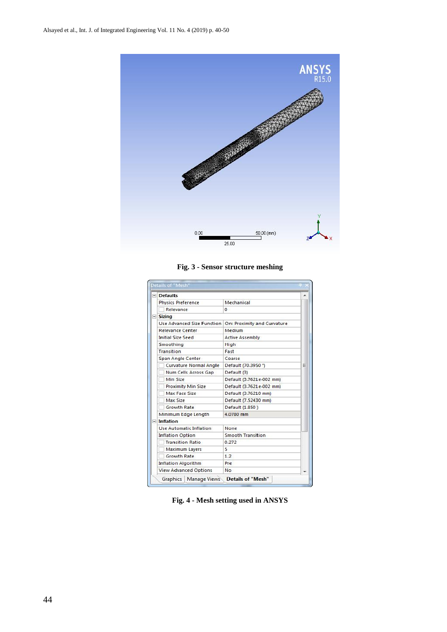

**Fig. 3 - Sensor structure meshing**

|  | $\Box$ Defaults              |                             |   |  |
|--|------------------------------|-----------------------------|---|--|
|  | <b>Physics Preference</b>    | Mechanical                  |   |  |
|  | Relevance                    | 0                           |   |  |
|  | $\equiv$ Sizing              |                             |   |  |
|  | Use Advanced Size Function   | On: Proximity and Curvature |   |  |
|  | Relevance Center             | Medium                      | Ξ |  |
|  | Initial Size Seed            | <b>Active Assembly</b>      |   |  |
|  | Smoothing                    | High                        |   |  |
|  | <b>Transition</b>            | Fast                        |   |  |
|  | Span Angle Center            | Coarse                      |   |  |
|  | Curvature Normal Angle       | Default (70.3950 °)         |   |  |
|  | Num Cells Across Gap         | Default (3)                 |   |  |
|  | Min Size                     | Default (3.7621e-002 mm)    |   |  |
|  | <b>Proximity Min Size</b>    | Default (3.7621e-002 mm)    |   |  |
|  | Max Face Size                | Default (3.76210 mm)        |   |  |
|  | Max Size                     | Default (7.52430 mm)        |   |  |
|  | <b>Growth Rate</b>           | Default (1.850)             |   |  |
|  | Minimum Edge Length          | 4.0780 mm                   |   |  |
|  | $\Box$ Inflation             |                             |   |  |
|  | Use Automatic Inflation      | None                        |   |  |
|  | <b>Inflation Option</b>      | <b>Smooth Transition</b>    |   |  |
|  | <b>Transition Ratio</b>      | 0.272                       |   |  |
|  | Maximum Layers               | 5                           |   |  |
|  | <b>Growth Rate</b>           | 1.2                         |   |  |
|  | <b>Inflation Algorithm</b>   | Pre                         |   |  |
|  | <b>View Advanced Options</b> | No                          |   |  |

**Fig. 4 - Mesh setting used in ANSYS**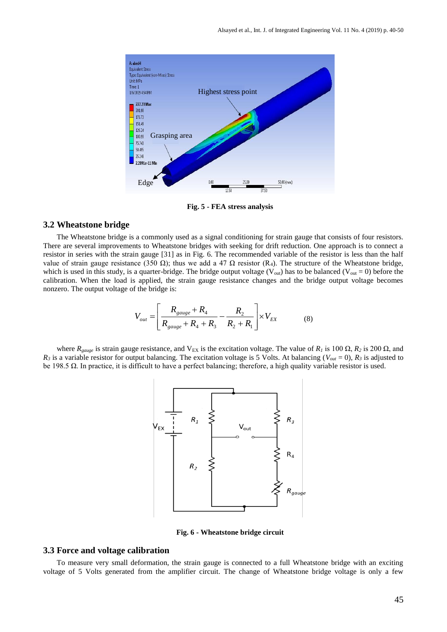

**Fig. 5 - FEA stress analysis**

#### **3.2 Wheatstone bridge**

The Wheatstone bridge is a commonly used as a signal conditioning for strain gauge that consists of four resistors. There are several improvements to Wheatstone bridges with seeking for drift reduction. One approach is to connect a resistor in series with the strain gauge [\[31\]](#page-10-10) as in Fig. 6. The recommended variable of the resistor is less than the half value of strain gauge resistance (350 Ω); thus we add a 47 Ω resistor (R<sub>4</sub>). The structure of the Wheatstone bridge, which is used in this study, is a quarter-bridge. The bridge output voltage ( $V_{\text{out}}$ ) has to be balanced ( $V_{\text{out}} = 0$ ) before the calibration. When the load is applied, the strain gauge resistance changes and the bridge output voltage becomes nonzero. The output voltage of the bridge is:

$$
V_{out} = \left[ \frac{R_{gauge} + R_4}{R_{gauge} + R_4 + R_3} - \frac{R_2}{R_2 + R_1} \right] \times V_{EX}
$$
 (8)

where  $R_{gauge}$  is strain gauge resistance, and V<sub>EX</sub> is the excitation voltage. The value of  $R_I$  is 100  $\Omega$ ,  $R_2$  is 200  $\Omega$ , and  $R_3$  is a variable resistor for output balancing. The excitation voltage is 5 Volts. At balancing ( $V_{out} = 0$ ),  $R_3$  is adjusted to be 198.5 Ω. In practice, it is difficult to have a perfect balancing; therefore, a high quality variable resistor is used.



**Fig. 6 - Wheatstone bridge circuit**

#### **3.3 Force and voltage calibration**

To measure very small deformation, the strain gauge is connected to a full Wheatstone bridge with an exciting voltage of 5 Volts generated from the amplifier circuit. The change of Wheatstone bridge voltage is only a few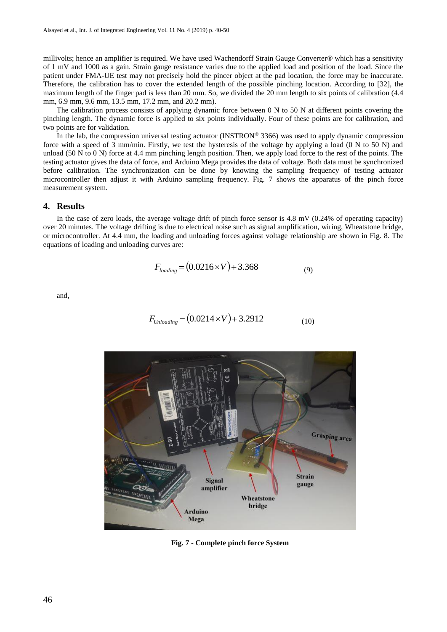millivolts; hence an amplifier is required. We have used Wachendorff Strain Gauge Converter® which has a sensitivity of 1 mV and 1000 as a gain. Strain gauge resistance varies due to the applied load and position of the load. Since the patient under FMA-UE test may not precisely hold the pincer object at the pad location, the force may be inaccurate. Therefore, the calibration has to cover the extended length of the possible pinching location. According to [\[32\]](#page-10-11), the maximum length of the finger pad is less than 20 mm. So, we divided the 20 mm length to six points of calibration (4.4 mm, 6.9 mm, 9.6 mm, 13.5 mm, 17.2 mm, and 20.2 mm).

The calibration process consists of applying dynamic force between 0 N to 50 N at different points covering the pinching length. The dynamic force is applied to six points individually. Four of these points are for calibration, and two points are for validation.

In the lab, the compression universal testing actuator (INSTRON® 3366) was used to apply dynamic compression force with a speed of  $\overline{3}$  mm/min. Firstly, we test the hysteresis of the voltage by applying a load (0 N to 50 N) and unload (50 N to 0 N) force at 4.4 mm pinching length position. Then, we apply load force to the rest of the points. The testing actuator gives the data of force, and Arduino Mega provides the data of voltage. Both data must be synchronized before calibration. The synchronization can be done by knowing the sampling frequency of testing actuator microcontroller then adjust it with Arduino sampling frequency. Fig. 7 shows the apparatus of the pinch force measurement system.

#### **4. Results**

In the case of zero loads, the average voltage drift of pinch force sensor is 4.8 mV (0.24% of operating capacity) over 20 minutes. The voltage drifting is due to electrical noise such as signal amplification, wiring, Wheatstone bridge, or microcontroller. At 4.4 mm, the loading and unloading forces against voltage relationship are shown in Fig. 8. The equations of loading and unloading curves are:

$$
F_{loading} = (0.0216 \times V) + 3.368
$$
 (9)

and,

$$
F_{\text{Unloading}} = (0.0214 \times V) + 3.2912 \tag{10}
$$



**Fig. 7 - Complete pinch force System**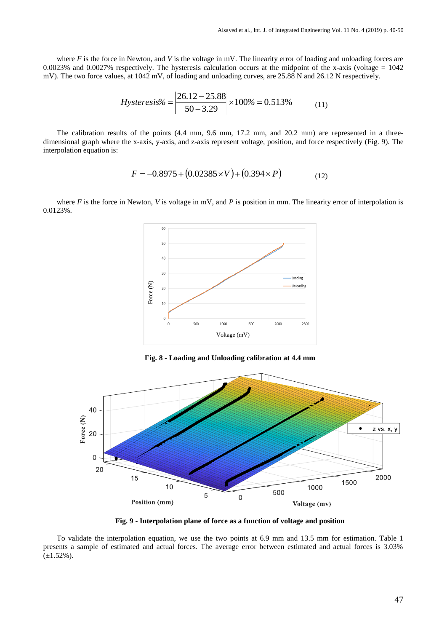where *F* is the force in Newton, and *V* is the voltage in mV. The linearity error of loading and unloading forces are 0.0023% and 0.0027% respectively. The hysteresis calculation occurs at the midpoint of the x-axis (voltage  $= 1042$ ) mV). The two force values, at 1042 mV, of loading and unloading curves, are 25.88 N and 26.12 N respectively.

$$
Hysteresis\% = \left| \frac{26.12 - 25.88}{50 - 3.29} \right| \times 100\% = 0.513\%
$$
 (11)

The calibration results of the points (4.4 mm, 9.6 mm, 17.2 mm, and 20.2 mm) are represented in a threedimensional graph where the x-axis, y-axis, and z-axis represent voltage, position, and force respectively (Fig. 9). The interpolation equation is:

$$
F = -0.8975 + (0.02385 \times V) + (0.394 \times P)
$$
 (12)

where *F* is the force in Newton, *V* is voltage in mV, and *P* is position in mm. The linearity error of interpolation is 0.0123%.



**Fig. 8 - Loading and Unloading calibration at 4.4 mm**



**Fig. 9 - Interpolation plane of force as a function of voltage and position**

To validate the interpolation equation, we use the two points at 6.9 mm and 13.5 mm for estimation. Table 1 presents a sample of estimated and actual forces. The average error between estimated and actual forces is 3.03%  $(\pm 1.52\%)$ .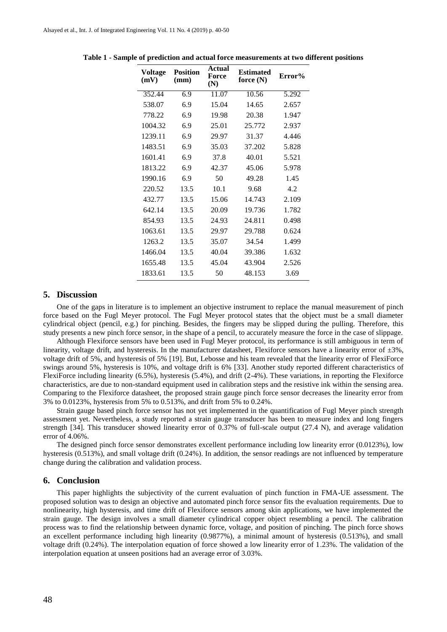| <b>Voltage</b><br>(mV) | <b>Position</b><br>(mm) | <b>Actual</b><br>Force<br>(N) | <b>Estimated</b><br>force (N) | Error% |
|------------------------|-------------------------|-------------------------------|-------------------------------|--------|
| 352.44                 | 6.9                     | 11.07                         | 10.56                         | 5.292  |
| 538.07                 | 6.9                     | 15.04                         | 14.65                         | 2.657  |
| 778.22                 | 6.9                     | 19.98                         | 20.38                         | 1.947  |
| 1004.32                | 6.9                     | 25.01                         | 25.772                        | 2.937  |
| 1239.11                | 6.9                     | 29.97                         | 31.37                         | 4.446  |
| 1483.51                | 6.9                     | 35.03                         | 37.202                        | 5.828  |
| 1601.41                | 6.9                     | 37.8                          | 40.01                         | 5.521  |
| 1813.22                | 6.9                     | 42.37                         | 45.06                         | 5.978  |
| 1990.16                | 6.9                     | 50                            | 49.28                         | 1.45   |
| 220.52                 | 13.5                    | 10.1                          | 9.68                          | 4.2    |
| 432.77                 | 13.5                    | 15.06                         | 14.743                        | 2.109  |
| 642.14                 | 13.5                    | 20.09                         | 19.736                        | 1.782  |
| 854.93                 | 13.5                    | 24.93                         | 24.811                        | 0.498  |
| 1063.61                | 13.5                    | 29.97                         | 29.788                        | 0.624  |
| 1263.2                 | 13.5                    | 35.07                         | 34.54                         | 1.499  |
| 1466.04                | 13.5                    | 40.04                         | 39.386                        | 1.632  |
| 1655.48                | 13.5                    | 45.04                         | 43.904                        | 2.526  |
| 1833.61                | 13.5                    | 50                            | 48.153                        | 3.69   |
|                        |                         |                               |                               |        |

**Table 1 - Sample of prediction and actual force measurements at two different positions**

### **5. Discussion**

One of the gaps in literature is to implement an objective instrument to replace the manual measurement of pinch force based on the Fugl Meyer protocol. The Fugl Meyer protocol states that the object must be a small diameter cylindrical object (pencil, e.g.) for pinching. Besides, the fingers may be slipped during the pulling. Therefore, this study presents a new pinch force sensor, in the shape of a pencil, to accurately measure the force in the case of slippage.

Although Flexiforce sensors have been used in Fugl Meyer protocol, its performance is still ambiguous in term of linearity, voltage drift, and hysteresis. In the manufacturer datasheet, Flexiforce sensors have a linearity error of  $\pm 3\%$ . voltage drift of 5%, and hysteresis of 5% [\[19\]](#page-9-16). But, Lebosse and his team revealed that the linearity error of FlexiForce swings around 5%, hysteresis is 10%, and voltage drift is 6% [\[33\]](#page-10-12). Another study reported different characteristics of FlexiForce including linearity (6.5%), hysteresis (5.4%), and drift (2-4%). These variations, in reporting the Flexiforce characteristics, are due to non-standard equipment used in calibration steps and the resistive ink within the sensing area. Comparing to the Flexiforce datasheet, the proposed strain gauge pinch force sensor decreases the linearity error from 3% to 0.0123%, hysteresis from 5% to 0.513%, and drift from 5% to 0.24%.

Strain gauge based pinch force sensor has not yet implemented in the quantification of Fugl Meyer pinch strength assessment yet. Nevertheless, a study reported a strain gauge transducer has been to measure index and long fingers strength [\[34\]](#page-10-13). This transducer showed linearity error of 0.37% of full-scale output (27.4 N), and average validation error of 4.06%.

The designed pinch force sensor demonstrates excellent performance including low linearity error (0.0123%), low hysteresis (0.513%), and small voltage drift (0.24%). In addition, the sensor readings are not influenced by temperature change during the calibration and validation process.

#### **6. Conclusion**

This paper highlights the subjectivity of the current evaluation of pinch function in FMA-UE assessment. The proposed solution was to design an objective and automated pinch force sensor fits the evaluation requirements. Due to nonlinearity, high hysteresis, and time drift of Flexiforce sensors among skin applications, we have implemented the strain gauge. The design involves a small diameter cylindrical copper object resembling a pencil. The calibration process was to find the relationship between dynamic force, voltage, and position of pinching. The pinch force shows an excellent performance including high linearity (0.9877%), a minimal amount of hysteresis (0.513%), and small voltage drift (0.24%). The interpolation equation of force showed a low linearity error of 1.23%. The validation of the interpolation equation at unseen positions had an average error of 3.03%.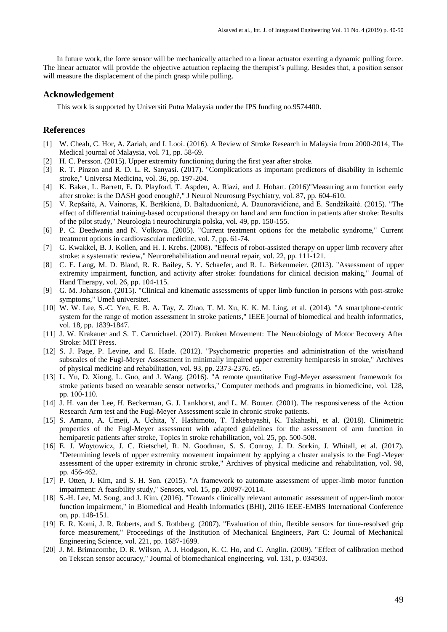In future work, the force sensor will be mechanically attached to a linear actuator exerting a dynamic pulling force. The linear actuator will provide the objective actuation replacing the therapist's pulling. Besides that, a position sensor will measure the displacement of the pinch grasp while pulling.

#### **Acknowledgement**

This work is supported by Universiti Putra Malaysia under the IPS funding no.9574400.

#### **References**

- <span id="page-9-0"></span>[1] W. Cheah, C. Hor, A. Zariah, and I. Looi. (2016). A Review of Stroke Research in Malaysia from 2000-2014, The Medical journal of Malaysia, vol. 71, pp. 58-69.
- [2] H. C. Persson. (2015). Upper extremity functioning during the first year after stroke.
- [3] R. T. Pinzon and R. D. L. R. Sanyasi. (2017). "Complications as important predictors of disability in ischemic stroke," Universa Medicina, vol. 36, pp. 197-204.
- <span id="page-9-1"></span>[4] K. Baker, L. Barrett, E. D. Playford, T. Aspden, A. Riazi, and J. Hobart. (2016)"Measuring arm function early after stroke: is the DASH good enough?," J Neurol Neurosurg Psychiatry, vol. 87, pp. 604-610.
- <span id="page-9-2"></span>[5] V. Repšaitė, A. Vainoras, K. Berškienė, D. Baltaduonienė, A. Daunoravičienė, and E. Sendžikaitė. (2015). "The effect of differential training-based occupational therapy on hand and arm function in patients after stroke: Results of the pilot study," Neurologia i neurochirurgia polska, vol. 49, pp. 150-155.
- <span id="page-9-3"></span>[6] P. C. Deedwania and N. Volkova. (2005). "Current treatment options for the metabolic syndrome," Current treatment options in cardiovascular medicine, vol. 7, pp. 61-74.
- <span id="page-9-4"></span>[7] G. Kwakkel, B. J. Kollen, and H. I. Krebs. (2008). "Effects of robot-assisted therapy on upper limb recovery after stroke: a systematic review," Neurorehabilitation and neural repair, vol. 22, pp. 111-121.
- <span id="page-9-5"></span>[8] C. E. Lang, M. D. Bland, R. R. Bailey, S. Y. Schaefer, and R. L. Birkenmeier. (2013). "Assessment of upper extremity impairment, function, and activity after stroke: foundations for clinical decision making," Journal of Hand Therapy, vol. 26, pp. 104-115.
- <span id="page-9-6"></span>[9] G. M. Johansson. (2015). "Clinical and kinematic assessments of upper limb function in persons with post-stroke symptoms," Umeå universitet.
- <span id="page-9-7"></span>[10] W. W. Lee, S.-C. Yen, E. B. A. Tay, Z. Zhao, T. M. Xu, K. K. M. Ling, et al. (2014). "A smartphone-centric system for the range of motion assessment in stroke patients," IEEE journal of biomedical and health informatics, vol. 18, pp. 1839-1847.
- <span id="page-9-8"></span>[11] J. W. Krakauer and S. T. Carmichael. (2017). Broken Movement: The Neurobiology of Motor Recovery After Stroke: MIT Press.
- <span id="page-9-9"></span>[12] S. J. Page, P. Levine, and E. Hade. (2012). "Psychometric properties and administration of the wrist/hand subscales of the Fugl-Meyer Assessment in minimally impaired upper extremity hemiparesis in stroke," Archives of physical medicine and rehabilitation, vol. 93, pp. 2373-2376. e5.
- <span id="page-9-10"></span>[13] L. Yu, D. Xiong, L. Guo, and J. Wang. (2016). "A remote quantitative Fugl-Meyer assessment framework for stroke patients based on wearable sensor networks," Computer methods and programs in biomedicine, vol. 128, pp. 100-110.
- <span id="page-9-11"></span>[14] J. H. van der Lee, H. Beckerman, G. J. Lankhorst, and L. M. Bouter. (2001). The responsiveness of the Action Research Arm test and the Fugl-Meyer Assessment scale in chronic stroke patients.
- <span id="page-9-12"></span>[15] S. Amano, A. Umeji, A. Uchita, Y. Hashimoto, T. Takebayashi, K. Takahashi, et al. (2018). Clinimetric properties of the Fugl-Meyer assessment with adapted guidelines for the assessment of arm function in hemiparetic patients after stroke, Topics in stroke rehabilitation, vol. 25, pp. 500-508.
- <span id="page-9-13"></span>[16] E. J. Woytowicz, J. C. Rietschel, R. N. Goodman, S. S. Conroy, J. D. Sorkin, J. Whitall, et al. (2017). "Determining levels of upper extremity movement impairment by applying a cluster analysis to the Fugl-Meyer assessment of the upper extremity in chronic stroke," Archives of physical medicine and rehabilitation, vol. 98, pp. 456-462.
- <span id="page-9-14"></span>[17] P. Otten, J. Kim, and S. H. Son. (2015). "A framework to automate assessment of upper-limb motor function impairment: A feasibility study," Sensors, vol. 15, pp. 20097-20114.
- <span id="page-9-15"></span>[18] S.-H. Lee, M. Song, and J. Kim. (2016). "Towards clinically relevant automatic assessment of upper-limb motor function impairment," in Biomedical and Health Informatics (BHI), 2016 IEEE-EMBS International Conference on, pp. 148-151.
- <span id="page-9-16"></span>[19] E. R. Komi, J. R. Roberts, and S. Rothberg. (2007). "Evaluation of thin, flexible sensors for time-resolved grip force measurement," Proceedings of the Institution of Mechanical Engineers, Part C: Journal of Mechanical Engineering Science, vol. 221, pp. 1687-1699.
- <span id="page-9-17"></span>[20] J. M. Brimacombe, D. R. Wilson, A. J. Hodgson, K. C. Ho, and C. Anglin. (2009). "Effect of calibration method on Tekscan sensor accuracy," Journal of biomechanical engineering, vol. 131, p. 034503.